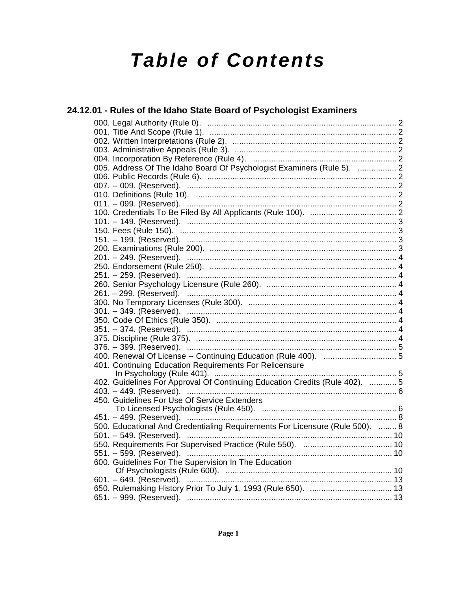# **Table of Contents**

| 24.12.01 - Rules of the Idaho State Board of Psychologist Examiners          |  |
|------------------------------------------------------------------------------|--|
|                                                                              |  |
|                                                                              |  |
|                                                                              |  |
|                                                                              |  |
|                                                                              |  |
| 005. Address Of The Idaho Board Of Psychologist Examiners (Rule 5).  2       |  |
|                                                                              |  |
|                                                                              |  |
|                                                                              |  |
|                                                                              |  |
|                                                                              |  |
|                                                                              |  |
|                                                                              |  |
|                                                                              |  |
|                                                                              |  |
|                                                                              |  |
|                                                                              |  |
|                                                                              |  |
|                                                                              |  |
|                                                                              |  |
|                                                                              |  |
|                                                                              |  |
|                                                                              |  |
|                                                                              |  |
|                                                                              |  |
|                                                                              |  |
|                                                                              |  |
| 401. Continuing Education Requirements For Relicensure                       |  |
| 402. Guidelines For Approval Of Continuing Education Credits (Rule 402).  5  |  |
|                                                                              |  |
| 450. Guidelines For Use Of Service Extenders                                 |  |
|                                                                              |  |
|                                                                              |  |
| 500. Educational And Credentialing Requirements For Licensure (Rule 500).  8 |  |
|                                                                              |  |
|                                                                              |  |
|                                                                              |  |
| 600. Guidelines For The Supervision In The Education                         |  |
|                                                                              |  |
|                                                                              |  |
|                                                                              |  |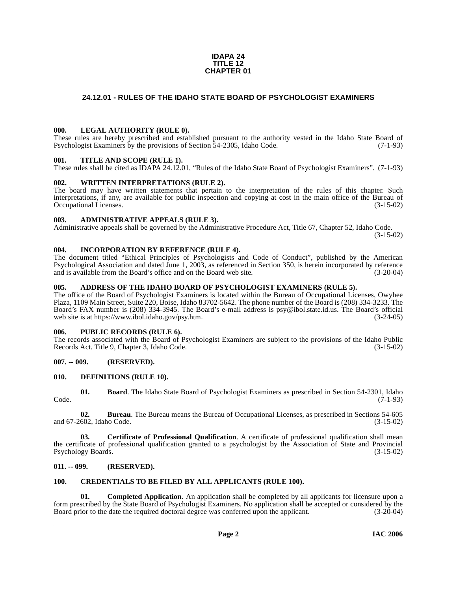#### **IDAPA 24 TITLE 12 CHAPTER 01**

#### <span id="page-1-0"></span>**24.12.01 - RULES OF THE IDAHO STATE BOARD OF PSYCHOLOGIST EXAMINERS**

#### <span id="page-1-1"></span>**000. LEGAL AUTHORITY (RULE 0).**

These rules are hereby prescribed and established pursuant to the authority vested in the Idaho State Board of Psychologist Examiners by the provisions of Section 54-2305, Idaho Code. (7-1-93)

#### <span id="page-1-2"></span>**001. TITLE AND SCOPE (RULE 1).**

These rules shall be cited as IDAPA 24.12.01, "Rules of the Idaho State Board of Psychologist Examiners". (7-1-93)

#### <span id="page-1-3"></span>**002. WRITTEN INTERPRETATIONS (RULE 2).**

The board may have written statements that pertain to the interpretation of the rules of this chapter. Such interpretations, if any, are available for public inspection and copying at cost in the main office of the Bureau of Occupational Licenses. (3-15-02) Occupational Licenses.

#### <span id="page-1-4"></span>**003. ADMINISTRATIVE APPEALS (RULE 3).**

Administrative appeals shall be governed by the Administrative Procedure Act, Title 67, Chapter 52, Idaho Code.

(3-15-02)

#### <span id="page-1-5"></span>**004. INCORPORATION BY REFERENCE (RULE 4).**

The document titled "Ethical Principles of Psychologists and Code of Conduct", published by the American Psychological Association and dated June 1, 2003, as referenced in Section 350, is herein incorporated by reference and is available from the Board's office and on the Board web site. (3-20-04)

#### <span id="page-1-6"></span>**005. ADDRESS OF THE IDAHO BOARD OF PSYCHOLOGIST EXAMINERS (RULE 5).**

[The office of the Board of Psychologist Examiners is located within the Bureau of Occupational Licenses, Owyhee](mailto:psy@ibol.idaho.gov) Plaza, 1109 Main Street, Suite 220, Boise, Idaho 83702-5642. The phone number of the Board is (208) 334-3233. The Board's FAX number is (208) 334-3945. The Board's e-mail address is psy@ibol.state.id.us. The Board's official [web site is at](mailto:psy@ibol.idaho.gov) [https://www.ibol.idaho.gov/psy.htm. \(3-24-05\)](https://www.ibol.idaho.gov/psy.htm)

#### <span id="page-1-7"></span>**006. PUBLIC RECORDS (RULE 6).**

The records associated with the Board of Psychologist Examiners are subject to the provisions of the Idaho Public<br>Records Act. Title 9, Chapter 3, Idaho Code. (3-15-02) Records Act. Title 9, Chapter 3, Idaho Code.

#### <span id="page-1-8"></span>**007. -- 009. (RESERVED).**

#### <span id="page-1-15"></span><span id="page-1-9"></span>**010. DEFINITIONS (RULE 10).**

<span id="page-1-12"></span>**01. Board**. The Idaho State Board of Psychologist Examiners as prescribed in Section 54-2301, Idaho  $\text{Code.}$  (7-1-93)

**02. Bureau**. The Bureau means the Bureau of Occupational Licenses, as prescribed in Sections 54-605 and 67-2602, Idaho Code. (3-15-02)

**03. Certificate of Professional Qualification**. A certificate of professional qualification shall mean the certificate of professional qualification granted to a psychologist by the Association of State and Provincial Psychology Boards. (3-15-02)

#### <span id="page-1-10"></span>**011. -- 099. (RESERVED).**

#### <span id="page-1-14"></span><span id="page-1-11"></span>**100. CREDENTIALS TO BE FILED BY ALL APPLICANTS (RULE 100).**

<span id="page-1-13"></span>**01. Completed Application**. An application shall be completed by all applicants for licensure upon a form prescribed by the State Board of Psychologist Examiners. No application shall be accepted or considered by the Board prior to the date the required doctoral degree was conferred upon the applicant. (3-20-04)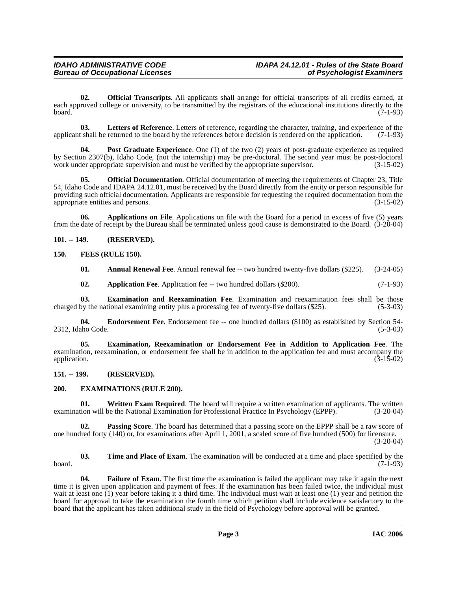<span id="page-2-13"></span>**02. Official Transcripts**. All applicants shall arrange for official transcripts of all credits earned, at each approved college or university, to be transmitted by the registrars of the educational institutions directly to the board. (7-1-93) board. (7-1-93)

<span id="page-2-12"></span>**03.** Letters of Reference. Letters of reference, regarding the character, training, and experience of the tshall be returned to the board by the references before decision is rendered on the application. (7-1-93) applicant shall be returned to the board by the references before decision is rendered on the application.

<span id="page-2-14"></span>**04.** Post Graduate Experience. One (1) of the two (2) years of post-graduate experience as required by Section 2307(b), Idaho Code, (not the internship) may be pre-doctoral. The second year must be post-doctoral work under appropriate supervision and must be verified by the appropriate supervisor. (3-15-02)

**05. Official Documentation**. Official documentation of meeting the requirements of Chapter 23, Title 54, Idaho Code and IDAPA 24.12.01, must be received by the Board directly from the entity or person responsible for providing such official documentation. Applicants are responsible for requesting the required documentation from the appropriate entities and persons. (3-15-02) appropriate entities and persons.

**06. Applications on File**. Applications on file with the Board for a period in excess of five (5) years from the date of receipt by the Bureau shall be terminated unless good cause is demonstrated to the Board. (3-20-04)

#### <span id="page-2-0"></span>**101. -- 149. (RESERVED).**

#### <span id="page-2-1"></span>**150. FEES (RULE 150).**

<span id="page-2-11"></span><span id="page-2-4"></span>**01.** Annual Renewal Fee. Annual renewal fee -- two hundred twenty-five dollars (\$225). (3-24-05)

<span id="page-2-7"></span><span id="page-2-6"></span><span id="page-2-5"></span>**02.** Application Fee. Application fee -- two hundred dollars (\$200). (7-1-93)

**03. Examination and Reexamination Fee**. Examination and reexamination fees shall be those charged by the national examining entity plus a processing fee of twenty-five dollars (\$25). (5-3-03)

**04. Endorsement Fee**. Endorsement fee -- one hundred dollars (\$100) as established by Section 54-<br>aho Code. (5-3-03) 2312, Idaho Code.

<span id="page-2-8"></span>**05. Examination, Reexamination or Endorsement Fee in Addition to Application Fee**. The examination, reexamination, or endorsement fee shall be in addition to the application fee and must accompany the application. (3-15-02) application. (3-15-02)

#### <span id="page-2-2"></span>**151. -- 199. (RESERVED).**

#### <span id="page-2-9"></span><span id="page-2-3"></span>**200. EXAMINATIONS (RULE 200).**

<span id="page-2-16"></span>**01. Written Exam Required**. The board will require a written examination of applicants. The written tion will be the National Examination for Professional Practice In Psychology (EPPP). (3-20-04) examination will be the National Examination for Professional Practice In Psychology (EPPP).

**02. Passing Score**. The board has determined that a passing score on the EPPP shall be a raw score of one hundred forty (140) or, for examinations after April 1, 2001, a scaled score of five hundred (500) for licensure.

 $(3-20-04)$ 

<span id="page-2-15"></span>**03.** Time and Place of Exam. The examination will be conducted at a time and place specified by the (7-1-93) board. (7-1-93)

<span id="page-2-10"></span>**04. Failure of Exam**. The first time the examination is failed the applicant may take it again the next time it is given upon application and payment of fees. If the examination has been failed twice, the individual must wait at least one  $(1)$  year before taking it a third time. The individual must wait at least one  $(1)$  year and petition the board for approval to take the examination the fourth time which petition shall include evidence satisfactory to the board that the applicant has taken additional study in the field of Psychology before approval will be granted.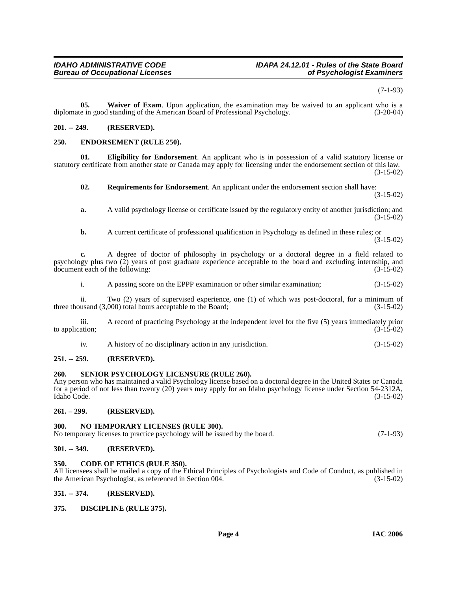#### (7-1-93)

<span id="page-3-17"></span>**05.** Waiver of Exam. Upon application, the examination may be waived to an applicant who is a diplomate in good standing of the American Board of Professional Psychology. (3-20-04)

#### <span id="page-3-0"></span>**201. -- 249. (RESERVED).**

**Bureau of Occupational Licenses** 

#### <span id="page-3-13"></span><span id="page-3-1"></span>**250. ENDORSEMENT (RULE 250).**

**01. Eligibility for Endorsement**. An applicant who is in possession of a valid statutory license or statutory certificate from another state or Canada may apply for licensing under the endorsement section of this law. (3-15-02)

<span id="page-3-15"></span><span id="page-3-12"></span>**02. Requirements for Endorsement**. An applicant under the endorsement section shall have: (3-15-02)

**a.** A valid psychology license or certificate issued by the regulatory entity of another jurisdiction; and (3-15-02)

**b.** A current certificate of professional qualification in Psychology as defined in these rules; or (3-15-02)

**c.** A degree of doctor of philosophy in psychology or a doctoral degree in a field related to psychology plus two (2) years of post graduate experience acceptable to the board and excluding internship, and document each of the following: (3-15-02)

i. A passing score on the EPPP examination or other similar examination; (3-15-02)

ii. Two (2) years of supervised experience, one (1) of which was post-doctoral, for a minimum of usand  $(3,000)$  total hours acceptable to the Board;  $(3-15-02)$ three thousand  $(3,000)$  total hours acceptable to the Board;

iii. A record of practicing Psychology at the independent level for the five (5) years immediately prior (3-15-02) to application;

<span id="page-3-16"></span>iv. A history of no disciplinary action in any jurisdiction. (3-15-02)

#### <span id="page-3-2"></span>**251. -- 259. (RESERVED).**

#### <span id="page-3-3"></span>**260. SENIOR PSYCHOLOGY LICENSURE (RULE 260).**

Any person who has maintained a valid Psychology license based on a doctoral degree in the United States or Canada for a period of not less than twenty (20) years may apply for an Idaho psychology license under Section 54-2312A, Idaho Code. (3-15-02)

#### <span id="page-3-4"></span>**261. – 299. (RESERVED).**

#### <span id="page-3-14"></span><span id="page-3-5"></span>**300. NO TEMPORARY LICENSES (RULE 300).**

No temporary licenses to practice psychology will be issued by the board. (7-1-93)

#### <span id="page-3-6"></span>**301. -- 349. (RESERVED).**

#### <span id="page-3-10"></span><span id="page-3-7"></span>**350. CODE OF ETHICS (RULE 350).**

All licensees shall be mailed a copy of the Ethical Principles of Psychologists and Code of Conduct, as published in the American Psychologist, as referenced in Section 004. (3-15-02)

#### <span id="page-3-8"></span>**351. -- 374. (RESERVED).**

#### <span id="page-3-11"></span><span id="page-3-9"></span>**375. DISCIPLINE (RULE 375).**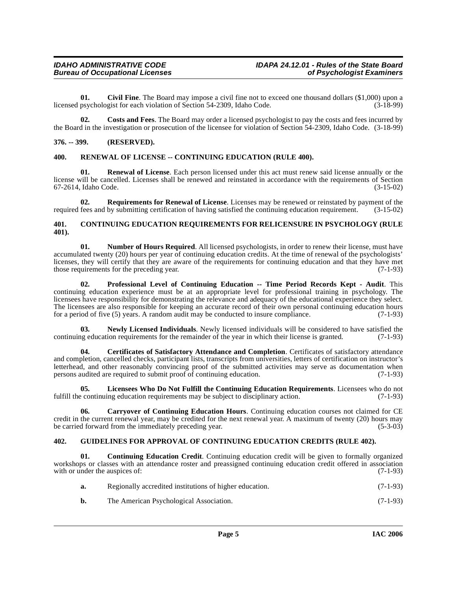<span id="page-4-6"></span>**01.** Civil Fine. The Board may impose a civil fine not to exceed one thousand dollars (\$1,000) upon a psychologist for each violation of Section 54-2309, Idaho Code. (3-18-99) licensed psychologist for each violation of Section 54-2309, Idaho Code.

<span id="page-4-9"></span>**02. Costs and Fees**. The Board may order a licensed psychologist to pay the costs and fees incurred by the Board in the investigation or prosecution of the licensee for violation of Section 54-2309, Idaho Code. (3-18-99)

#### <span id="page-4-0"></span>**376. -- 399. (RESERVED).**

#### <span id="page-4-15"></span><span id="page-4-1"></span>**400. RENEWAL OF LICENSE -- CONTINUING EDUCATION (RULE 400).**

**01. Renewal of License**. Each person licensed under this act must renew said license annually or the license will be cancelled. Licenses shall be renewed and reinstated in accordance with the requirements of Section 67-2614, Idaho Code. (3-15-02)

<span id="page-4-16"></span>**02. Requirements for Renewal of License**. Licenses may be renewed or reinstated by payment of the fees and by submitting certification of having satisfied the continuing education requirement. (3-15-02) required fees and by submitting certification of having satisfied the continuing education requirement.

#### <span id="page-4-8"></span><span id="page-4-2"></span>**401. CONTINUING EDUCATION REQUIREMENTS FOR RELICENSURE IN PSYCHOLOGY (RULE 401).**

<span id="page-4-13"></span>**01. Number of Hours Required**. All licensed psychologists, in order to renew their license, must have accumulated twenty (20) hours per year of continuing education credits. At the time of renewal of the psychologists' licenses, they will certify that they are aware of the requirements for continuing education and that they have met those requirements for the preceding year. (7-1-93)

<span id="page-4-14"></span>**02. Professional Level of Continuing Education -- Time Period Records Kept - Audit**. This continuing education experience must be at an appropriate level for professional training in psychology. The licensees have responsibility for demonstrating the relevance and adequacy of the educational experience they select. The licensees are also responsible for keeping an accurate record of their own personal continuing education hours<br>for a period of five (5) years. A random audit may be conducted to insure compliance. (7-1-93) for a period of five  $(5)$  years. A random audit may be conducted to insure compliance.

<span id="page-4-12"></span>**03. Newly Licensed Individuals**. Newly licensed individuals will be considered to have satisfied the continuing education requirements for the remainder of the year in which their license is granted. (7-1-93)

<span id="page-4-5"></span>**04. Certificates of Satisfactory Attendance and Completion**. Certificates of satisfactory attendance and completion, cancelled checks, participant lists, transcripts from universities, letters of certification on instructor's letterhead, and other reasonably convincing proof of the submitted activities may serve as documentation when persons audited are required to submit proof of continuing education. (7-1-93)

<span id="page-4-11"></span>**05. Licensees Who Do Not Fulfill the Continuing Education Requirements**. Licensees who do not fulfill the continuing education requirements may be subject to disciplinary action. (7-1-93)

<span id="page-4-4"></span>**06. Carryover of Continuing Education Hours**. Continuing education courses not claimed for CE credit in the current renewal year, may be credited for the next renewal year. A maximum of twenty (20) hours may be carried forward from the immediately preceding year. (5-3-03) be carried forward from the immediately preceding year.

#### <span id="page-4-10"></span><span id="page-4-3"></span>**402. GUIDELINES FOR APPROVAL OF CONTINUING EDUCATION CREDITS (RULE 402).**

**01. Continuing Education Credit**. Continuing education credit will be given to formally organized workshops or classes with an attendance roster and preassigned continuing education credit offered in association with or under the auspices of:  $(7-1-93)$ 

<span id="page-4-7"></span>

| Regionally accredited institutions of higher education. | $(7-1-93)$ |
|---------------------------------------------------------|------------|
| The American Psychological Association.                 | $(7-1-93)$ |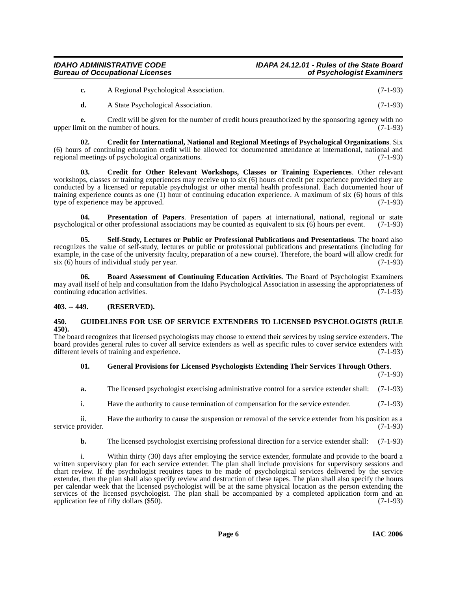#### **IDAHO ADMINISTRATIVE CODE IDAPA 24.12.01 - Rules of the State Board Bureau of Occupational Licenses**

| A Regional Psychological Association. | $(7-1-93)$ |
|---------------------------------------|------------|
|                                       |            |

<span id="page-5-3"></span>**d.** A State Psychological Association. (7-1-93)

**e.** Credit will be given for the number of credit hours preauthorized by the sponsoring agency with no upper limit on the number of hours. (7-1-93)

**02. Credit for International, National and Regional Meetings of Psychological Organizations**. Six (6) hours of continuing education credit will be allowed for documented attendance at international, national and regional meetings of psychological organizations. (7-1-93)

<span id="page-5-4"></span>**03. Credit for Other Relevant Workshops, Classes or Training Experiences**. Other relevant workshops, classes or training experiences may receive up to six (6) hours of credit per experience provided they are conducted by a licensed or reputable psychologist or other mental health professional. Each documented hour of training experience counts as one (1) hour of continuing education experience. A maximum of six (6) hours of this type of experience may be approved. (7-1-93) type of experience may be approved.

<span id="page-5-7"></span>Presentation of Papers. Presentation of papers at international, national, regional or state psychological or other professional associations may be counted as equivalent to six (6) hours per event. (7-1-93)

<span id="page-5-8"></span>**05. Self-Study, Lectures or Public or Professional Publications and Presentations**. The board also recognizes the value of self-study, lectures or public or professional publications and presentations (including for example, in the case of the university faculty, preparation of a new course). Therefore, the board will allow credit for six (6) hours of individual study per year. (7-1-93)

<span id="page-5-2"></span>**06. Board Assessment of Continuing Education Activities**. The Board of Psychologist Examiners may avail itself of help and consultation from the Idaho Psychological Association in assessing the appropriateness of continuing education activities. (7-1-93) continuing education activities.

#### <span id="page-5-0"></span>**403. -- 449. (RESERVED).**

#### <span id="page-5-6"></span><span id="page-5-1"></span>**450. GUIDELINES FOR USE OF SERVICE EXTENDERS TO LICENSED PSYCHOLOGISTS (RULE 450).**

The board recognizes that licensed psychologists may choose to extend their services by using service extenders. The board provides general rules to cover all service extenders as well as specific rules to cover service extenders with different levels of training and experience. (7-1-93) different levels of training and experience.

#### <span id="page-5-5"></span>**01. General Provisions for Licensed Psychologists Extending Their Services Through Others**.

(7-1-93)

**a.** The licensed psychologist exercising administrative control for a service extender shall: (7-1-93)

i. Have the authority to cause termination of compensation for the service extender. (7-1-93)

ii. Have the authority to cause the suspension or removal of the service extender from his position as a rovider. (7-1-93) service provider.

**b.** The licensed psychologist exercising professional direction for a service extender shall: (7-1-93)

i. Within thirty (30) days after employing the service extender, formulate and provide to the board a written supervisory plan for each service extender. The plan shall include provisions for supervisory sessions and chart review. If the psychologist requires tapes to be made of psychological services delivered by the service extender, then the plan shall also specify review and destruction of these tapes. The plan shall also specify the hours per calendar week that the licensed psychologist will be at the same physical location as the person extending the services of the licensed psychologist. The plan shall be accompanied by a completed application form and an application fee of fifty dollars  $(\$50)$ . (7-1-93)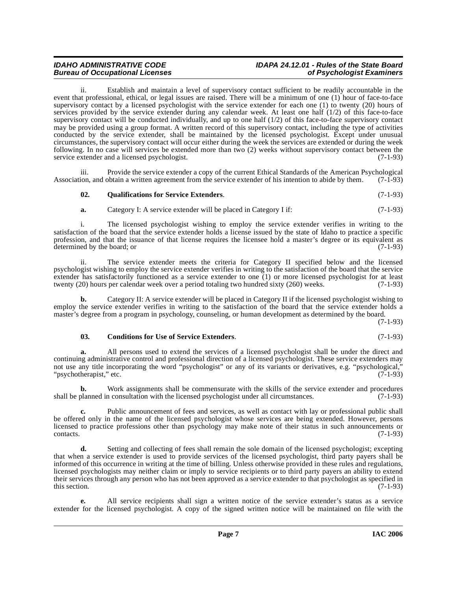### **IDAHO ADMINISTRATIVE CODE IDAPA 24.12.01 - Rules of the State Board**

ii. Establish and maintain a level of supervisory contact sufficient to be readily accountable in the event that professional, ethical, or legal issues are raised. There will be a minimum of one (1) hour of face-to-face supervisory contact by a licensed psychologist with the service extender for each one (1) to twenty (20) hours of services provided by the service extender during any calendar week. At least one half (1/2) of this face-to-face supervisory contact will be conducted individually, and up to one half  $(1/2)$  of this face-to-face supervisory contact may be provided using a group format. A written record of this supervisory contact, including the type of activities conducted by the service extender, shall be maintained by the licensed psychologist. Except under unusual circumstances, the supervisory contact will occur either during the week the services are extended or during the week following. In no case will services be extended more than two (2) weeks without supervisory contact between the service extender and a licensed psychologist. (7-1-93)

iii. Provide the service extender a copy of the current Ethical Standards of the American Psychological Association, and obtain a written agreement from the service extender of his intention to abide by them.

#### <span id="page-6-1"></span>**02. Qualifications for Service Extenders**. (7-1-93)

**a.** Category I: A service extender will be placed in Category I if: (7-1-93)

i. The licensed psychologist wishing to employ the service extender verifies in writing to the satisfaction of the board that the service extender holds a license issued by the state of Idaho to practice a specific profession, and that the issuance of that license requires the licensee hold a master's degree or its equivalent as determined by the board: or (7-1-93) determined by the board; or

ii. The service extender meets the criteria for Category II specified below and the licensed psychologist wishing to employ the service extender verifies in writing to the satisfaction of the board that the service extender has satisfactorily functioned as a service extender to one  $\overline{(1)}$  or more licensed psychologist for at least twenty (20) hours per calendar week over a period totaling two hundred sixty (260) weeks. (7-1-93) twenty (20) hours per calendar week over a period totaling two hundred sixty (260) weeks.

**b.** Category II: A service extender will be placed in Category II if the licensed psychologist wishing to employ the service extender verifies in writing to the satisfaction of the board that the service extender holds a master's degree from a program in psychology, counseling, or human development as determined by the board.

(7-1-93)

#### <span id="page-6-0"></span>**03. Conditions for Use of Service Extenders**. (7-1-93)

**a.** All persons used to extend the services of a licensed psychologist shall be under the direct and continuing administrative control and professional direction of a licensed psychologist. These service extenders may not use any title incorporating the word "psychologist" or any of its variants or derivatives, e.g. "psychological," "psychotherapist," etc. (7-1-93)

**b.** Work assignments shall be commensurate with the skills of the service extender and procedures shall be planned in consultation with the licensed psychologist under all circumstances. (7-1-93)

**c.** Public announcement of fees and services, as well as contact with lay or professional public shall be offered only in the name of the licensed psychologist whose services are being extended. However, persons licensed to practice professions other than psychology may make note of their status in such announcements or  $\text{constants.}$  (7-1-93)

**d.** Setting and collecting of fees shall remain the sole domain of the licensed psychologist; excepting that when a service extender is used to provide services of the licensed psychologist, third party payers shall be informed of this occurrence in writing at the time of billing. Unless otherwise provided in these rules and regulations, licensed psychologists may neither claim or imply to service recipients or to third party payers an ability to extend their services through any person who has not been approved as a service extender to that psychologist as specified in this section.  $(7-1-93)$ 

**e.** All service recipients shall sign a written notice of the service extender's status as a service extender for the licensed psychologist. A copy of the signed written notice will be maintained on file with the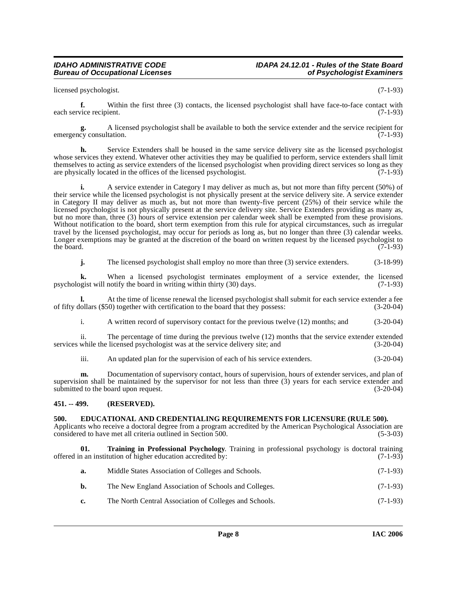licensed psychologist. (7-1-93)

**f.** Within the first three (3) contacts, the licensed psychologist shall have face-to-face contact with each service recipient. (7-1-93)

**g.** A licensed psychologist shall be available to both the service extender and the service recipient for cy consultation. (7-1-93) emergency consultation.

**h.** Service Extenders shall be housed in the same service delivery site as the licensed psychologist whose services they extend. Whatever other activities they may be qualified to perform, service extenders shall limit themselves to acting as service extenders of the licensed psychologist when providing direct services so long as they are physically located in the offices of the licensed psychologist. (7-1-93) are physically located in the offices of the licensed psychologist.

**i.** A service extender in Category I may deliver as much as, but not more than fifty percent (50%) of their service while the licensed psychologist is not physically present at the service delivery site. A service extender in Category II may deliver as much as, but not more than twenty-five percent (25%) of their service while the licensed psychologist is not physically present at the service delivery site. Service Extenders providing as many as, but no more than, three (3) hours of service extension per calendar week shall be exempted from these provisions. Without notification to the board, short term exemption from this rule for atypical circumstances, such as irregular travel by the licensed psychologist, may occur for periods as long as, but no longer than three (3) calendar weeks. Longer exemptions may be granted at the discretion of the board on written request by the licensed psychologist to the board. (7-1-93) the board.  $(7-1-93)$ 

**j.** The licensed psychologist shall employ no more than three (3) service extenders. (3-18-99)

**k.** When a licensed psychologist terminates employment of a service extender, the licensed ogist will notify the board in writing within thirty (30) days. (7-1-93) psychologist will notify the board in writing within thirty  $(30)$  days.

**l.** At the time of license renewal the licensed psychologist shall submit for each service extender a fee lollars (\$50) together with certification to the board that they possess: (3-20-04) of fifty dollars (\$50) together with certification to the board that they possess:

i. A written record of supervisory contact for the previous twelve (12) months; and (3-20-04)

ii. The percentage of time during the previous twelve (12) months that the service extender extended while the licensed psychologist was at the service delivery site; and (3-20-04) services while the licensed psychologist was at the service delivery site; and

iii. An updated plan for the supervision of each of his service extenders. (3-20-04)

**m.** Documentation of supervisory contact, hours of supervision, hours of extender services, and plan of supervision shall be maintained by the supervisor for not less than three (3) years for each service extender and submitted to the board upon request. (3-20-04)

#### <span id="page-7-0"></span>**451. -- 499. (RESERVED).**

#### <span id="page-7-2"></span><span id="page-7-1"></span>**500. EDUCATIONAL AND CREDENTIALING REQUIREMENTS FOR LICENSURE (RULE 500).**

Applicants who receive a doctoral degree from a program accredited by the American Psychological Association are considered to have met all criteria outlined in Section 500. (5-3-03)

**01. Training in Professional Psychology**. Training in professional psychology is doctoral training in an institution of higher education accredited by: (7-1-93) offered in an institution of higher education accredited by:

- <span id="page-7-3"></span>**a.** Middle States Association of Colleges and Schools. (7-1-93)
- **b.** The New England Association of Schools and Colleges. (7-1-93)
- **c.** The North Central Association of Colleges and Schools. (7-1-93)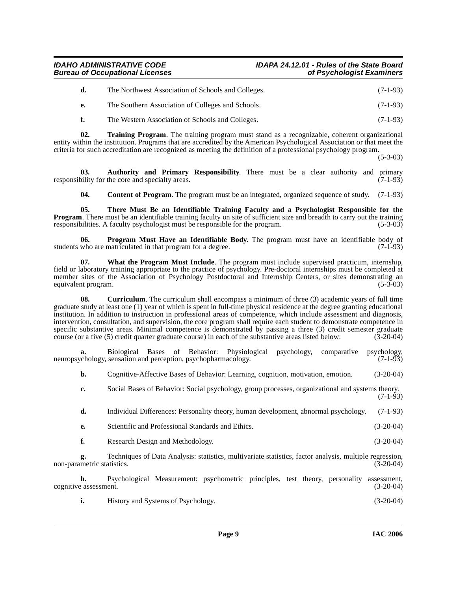| <b>IDAHO ADMINISTRATIVE CODE</b>       | IDAPA 24.12.01 - Rules of the State Board |
|----------------------------------------|-------------------------------------------|
| <b>Bureau of Occupational Licenses</b> | of Psychologist Examiners                 |

| d. | The Northwest Association of Schools and Colleges. | $(7-1-93)$ |
|----|----------------------------------------------------|------------|
| e. | The Southern Association of Colleges and Schools.  | $(7-1-93)$ |

<span id="page-8-5"></span>**f.** The Western Association of Schools and Colleges. (7-1-93)

**02. Training Program**. The training program must stand as a recognizable, coherent organizational entity within the institution. Programs that are accredited by the American Psychological Association or that meet the criteria for such accreditation are recognized as meeting the definition of a professional psychology program.

(5-3-03)

**03.** Authority and Primary Responsibility. There must be a clear authority and primary bility for the core and specialty areas. (7-1-93) responsibility for the core and specialty areas.

<span id="page-8-4"></span><span id="page-8-3"></span><span id="page-8-1"></span><span id="page-8-0"></span>**04.** Content of Program. The program must be an integrated, organized sequence of study. (7-1-93)

**05. There Must Be an Identifiable Training Faculty and a Psychologist Responsible for the Program**. There must be an identifiable training faculty on site of sufficient size and breadth to carry out the training responsibilities. A faculty psychologist must be responsible for the program. (5-3-03)

**06. Program Must Have an Identifiable Body**. The program must have an identifiable body of who are matriculated in that program for a degree. (7-1-93) students who are matriculated in that program for a degree.

<span id="page-8-6"></span>**07. What the Program Must Include**. The program must include supervised practicum, internship, field or laboratory training appropriate to the practice of psychology. Pre-doctoral internships must be completed at member sites of the Association of Psychology Postdoctoral and Internship Centers, or sites demonstrating an equivalent program. (5-3-03) equivalent program.

<span id="page-8-2"></span>**08.** Curriculum. The curriculum shall encompass a minimum of three (3) academic years of full time graduate study at least one (1) year of which is spent in full-time physical residence at the degree granting educational institution. In addition to instruction in professional areas of competence, which include assessment and diagnosis, intervention, consultation, and supervision, the core program shall require each student to demonstrate competence in specific substantive areas. Minimal competence is demonstrated by passing a three (3) credit semester graduate course (or a five (5) credit quarter graduate course) in each of the substantive areas listed below: (3-20-04) course (or a five (5) credit quarter graduate course) in each of the substantive areas listed below:

**a.** Biological Bases of Behavior: Physiological psychology, comparative psychology, chology, ensation and perception psychopharmacology. (7-1-93) neuropsychology, sensation and perception, psychopharmacology.

**b.** Cognitive-Affective Bases of Behavior: Learning, cognition, motivation, emotion. (3-20-04)

**c.** Social Bases of Behavior: Social psychology, group processes, organizational and systems theory. (7-1-93)

| d. | Individual Differences: Personality theory, human development, abnormal psychology. (7-1-93) |  |
|----|----------------------------------------------------------------------------------------------|--|
|    |                                                                                              |  |

- **e.** Scientific and Professional Standards and Ethics. (3-20-04)
- **f.** Research Design and Methodology. (3-20-04)

**g.** Techniques of Data Analysis: statistics, multivariate statistics, factor analysis, multiple regression, metric statistics. (3-20-04) non-parametric statistics.

**h.** Psychological Measurement: psychometric principles, test theory, personality assessment, cognitive assessment. (3-20-04)

**i.** History and Systems of Psychology. (3-20-04)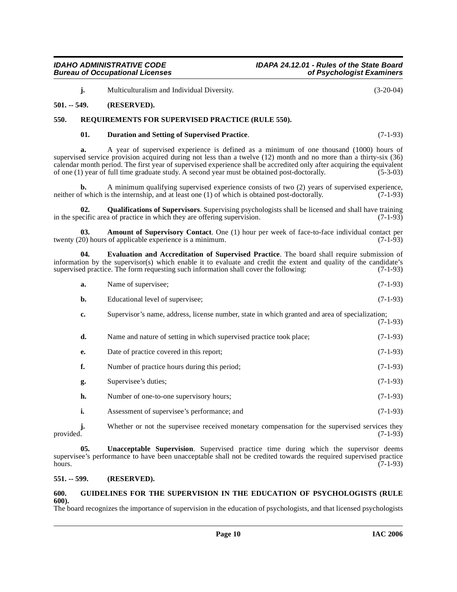### <span id="page-9-0"></span>**501. -- 549. (RESERVED).**

### <span id="page-9-1"></span>**550. REQUIREMENTS FOR SUPERVISED PRACTICE (RULE 550).**

#### <span id="page-9-9"></span><span id="page-9-5"></span>**01. Duration and Setting of Supervised Practice**. (7-1-93)

**a.** A year of supervised experience is defined as a minimum of one thousand (1000) hours of supervised service provision acquired during not less than a twelve (12) month and no more than a thirty-six (36) calendar month period. The first year of supervised experience shall be accredited only after acquiring the equivalent of one (1) year of full time graduate study. A second year must be obtained post-doctorally. (5-3-03)

**b.** A minimum qualifying supervised experience consists of two (2) years of supervised experience, neither of which is the internship, and at least one (1) of which is obtained post-doctorally. (7-1-93)

<span id="page-9-8"></span>**02.** Qualifications of Supervisors. Supervising psychologists shall be licensed and shall have training ecific area of practice in which they are offering supervision. (7-1-93) in the specific area of practice in which they are offering supervision.

<span id="page-9-4"></span>**03. Amount of Supervisory Contact**. One (1) hour per week of face-to-face individual contact per 20) hours of applicable experience is a minimum. (7-1-93) twenty  $(20)$  hours of applicable experience is a minimum.

**04. Evaluation and Accreditation of Supervised Practice**. The board shall require submission of information by the supervisor(s) which enable it to evaluate and credit the extent and quality of the candidate's supervised practice. The form requesting such information shall cover the following: (7-1-93)

<span id="page-9-6"></span>

| а. | Name of supervisee; |  | $(7-1-93)$ |
|----|---------------------|--|------------|
|----|---------------------|--|------------|

**b.** Educational level of supervisee; (7-1-93)

**c.** Supervisor's name, address, license number, state in which granted and area of specialization; (7-1-93)

- **d.** Name and nature of setting in which supervised practice took place; (7-1-93) **e.** Date of practice covered in this report; (7-1-93) **f.** Number of practice hours during this period; (7-1-93) **g.** Supervisee's duties; (7-1-93) **h.** Number of one-to-one supervisory hours; (7-1-93)
- <span id="page-9-10"></span>**i.** Assessment of supervisee's performance; and (7-1-93)

**j.** Whether or not the supervisee received monetary compensation for the supervised services they provided. (7-1-93)

**05. Unacceptable Supervision**. Supervised practice time during which the supervisor deems supervisee's performance to have been unacceptable shall not be credited towards the required supervised practice<br>(7-1-93) hours.  $(7-1-93)$ 

#### <span id="page-9-2"></span>**551. -- 599. (RESERVED).**

#### <span id="page-9-7"></span><span id="page-9-3"></span>**600. GUIDELINES FOR THE SUPERVISION IN THE EDUCATION OF PSYCHOLOGISTS (RULE 600).**

The board recognizes the importance of supervision in the education of psychologists, and that licensed psychologists

**IDAHO ADMINISTRATIVE CODE IDAPA 24.12.01 - Rules of the State Board**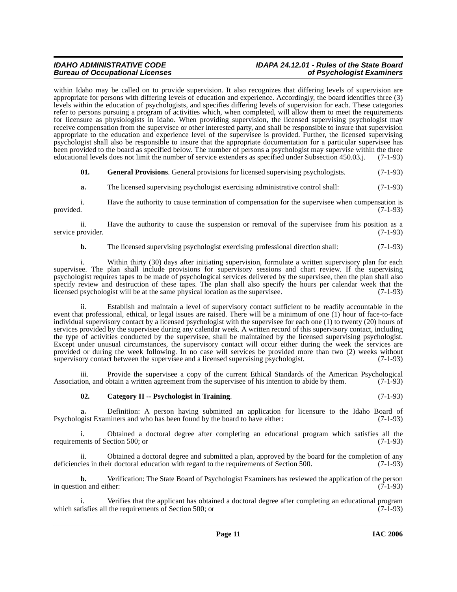### **IDAHO ADMINISTRATIVE CODE IDAPA 24.12.01 - Rules of the State Board**

within Idaho may be called on to provide supervision. It also recognizes that differing levels of supervision are appropriate for persons with differing levels of education and experience. Accordingly, the board identifies three (3) levels within the education of psychologists, and specifies differing levels of supervision for each. These categories refer to persons pursuing a program of activities which, when completed, will allow them to meet the requirements for licensure as physiologists in Idaho. When providing supervision, the licensed supervising psychologist may receive compensation from the supervisee or other interested party, and shall be responsible to insure that supervision appropriate to the education and experience level of the supervisee is provided. Further, the licensed supervising psychologist shall also be responsible to insure that the appropriate documentation for a particular supervisee has been provided to the board as specified below. The number of persons a psychologist may supervise within the three educational levels does not limit the number of service extenders as specified under Subsection 450.03.j. (7-1-93)

**01.** General Provisions. General provisions for licensed supervising psychologists.  $(7-1-93)$ 

**a.** The licensed supervising psychologist exercising administrative control shall: (7-1-93)

i. Have the authority to cause termination of compensation for the supervisee when compensation is provided. (7-1-93)

ii. Have the authority to cause the suspension or removal of the supervisee from his position as a service provider. (7-1-93)

**b.** The licensed supervising psychologist exercising professional direction shall: (7-1-93)

i. Within thirty (30) days after initiating supervision, formulate a written supervisory plan for each supervisee. The plan shall include provisions for supervisory sessions and chart review. If the supervising psychologist requires tapes to be made of psychological services delivered by the supervisee, then the plan shall also specify review and destruction of these tapes. The plan shall also specify the hours per calendar week that the licensed psychologist will be at the same physical location as the supervisee. (7-1-93) licensed psychologist will be at the same physical location as the supervisee.

ii. Establish and maintain a level of supervisory contact sufficient to be readily accountable in the event that professional, ethical, or legal issues are raised. There will be a minimum of one (1) hour of face-to-face individual supervisory contact by a licensed psychologist with the supervisee for each one (1) to twenty (20) hours of services provided by the supervisee during any calendar week. A written record of this supervisory contact, including the type of activities conducted by the supervisee, shall be maintained by the licensed supervising psychologist. Except under unusual circumstances, the supervisory contact will occur either during the week the services are provided or during the week following. In no case will services be provided more than two (2) weeks without supervisory contact between the supervisee and a licensed supervising psychologist. (7-1-93)

iii. Provide the supervisee a copy of the current Ethical Standards of the American Psychological<br>ion, and obtain a written agreement from the supervisee of his intention to abide by them. (7-1-93) Association, and obtain a written agreement from the supervisee of his intention to abide by them.

#### <span id="page-10-0"></span>**02. Category II -- Psychologist in Training**. (7-1-93)

**a.** Definition: A person having submitted an application for licensure to the Idaho Board of gist Examiners and who has been found by the board to have either: (7-1-93) Psychologist Examiners and who has been found by the board to have either:

i. Obtained a doctoral degree after completing an educational program which satisfies all the requirements of Section 500; or (7-1-93)

ii. Obtained a doctoral degree and submitted a plan, approved by the board for the completion of any ites in their doctoral education with regard to the requirements of Section 500. (7-1-93) deficiencies in their doctoral education with regard to the requirements of Section 500.

**b.** Verification: The State Board of Psychologist Examiners has reviewed the application of the person on and either: (7-1-93) in question and either:

Verifies that the applicant has obtained a doctoral degree after completing an educational program the requirements of Section 500; or which satisfies all the requirements of Section 500; or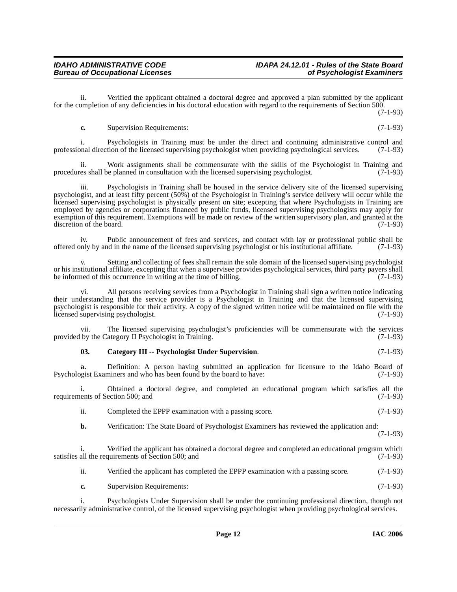ii. Verified the applicant obtained a doctoral degree and approved a plan submitted by the applicant for the completion of any deficiencies in his doctoral education with regard to the requirements of Section 500. (7-1-93)

**c.** Supervision Requirements: (7-1-93)

i. Psychologists in Training must be under the direct and continuing administrative control and direction of the licensed supervising psychologist when providing psychological services. (7-1-93) professional direction of the licensed supervising psychologist when providing psychological services.

ii. Work assignments shall be commensurate with the skills of the Psychologist in Training and es shall be planned in consultation with the licensed supervising psychologist. (7-1-93) procedures shall be planned in consultation with the licensed supervising psychologist.

Psychologists in Training shall be housed in the service delivery site of the licensed supervising psychologist, and at least fifty percent (50%) of the Psychologist in Training's service delivery will occur while the licensed supervising psychologist is physically present on site; excepting that where Psychologists in Training are employed by agencies or corporations financed by public funds, licensed supervising psychologists may apply for exemption of this requirement. Exemptions will be made on review of the written supervisory plan, and granted at the discretion of the board. (7-1-93)

iv. Public announcement of fees and services, and contact with lay or professional public shall be now and in the name of the licensed supervising psychologist or his institutional affiliate. (7-1-93) offered only by and in the name of the licensed supervising psychologist or his institutional affiliate. (7-1-93)

Setting and collecting of fees shall remain the sole domain of the licensed supervising psychologist or his institutional affiliate, excepting that when a supervisee provides psychological services, third party payers shall<br>be informed of this occurrence in writing at the time of billing. (7-1-93) be informed of this occurrence in writing at the time of billing.

vi. All persons receiving services from a Psychologist in Training shall sign a written notice indicating their understanding that the service provider is a Psychologist in Training and that the licensed supervising psychologist is responsible for their activity. A copy of the signed written notice will be maintained on file with the licensed supervising psychologist.

vii. The licensed supervising psychologist's proficiencies will be commensurate with the services provided by the Category II Psychologist in Training. (7-1-93)

#### <span id="page-11-0"></span>**03. Category III -- Psychologist Under Supervision**. (7-1-93)

**a.** Definition: A person having submitted an application for licensure to the Idaho Board of Psychologist Examiners and who has been found by the board to have: (7-1-93)

i. Obtained a doctoral degree, and completed an educational program which satisfies all the requirements of Section 500; and

ii. Completed the EPPP examination with a passing score. (7-1-93)

**b.** Verification: The State Board of Psychologist Examiners has reviewed the application and: (7-1-93)

i. Verified the applicant has obtained a doctoral degree and completed an educational program which all the requirements of Section 500; and (7-1-93) satisfies all the requirements of Section 500; and

ii. Verified the applicant has completed the EPPP examination with a passing score. (7-1-93)

**c.** Supervision Requirements: (7-1-93)

i. Psychologists Under Supervision shall be under the continuing professional direction, though not necessarily administrative control, of the licensed supervising psychologist when providing psychological services.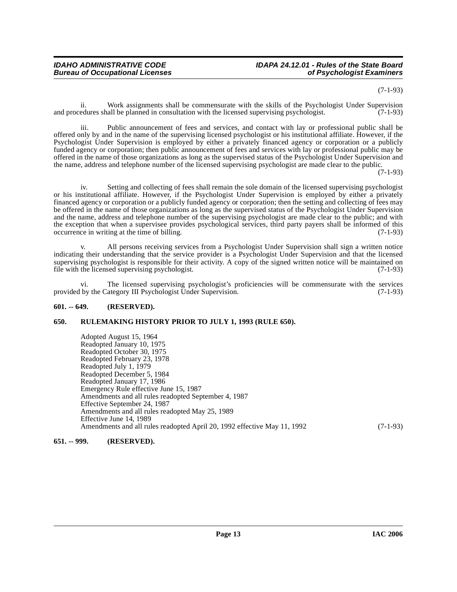(7-1-93)

ii. Work assignments shall be commensurate with the skills of the Psychologist Under Supervision and procedures shall be planned in consultation with the licensed supervising psychologist. (7-1-93)

iii. Public announcement of fees and services, and contact with lay or professional public shall be offered only by and in the name of the supervising licensed psychologist or his institutional affiliate. However, if the Psychologist Under Supervision is employed by either a privately financed agency or corporation or a publicly funded agency or corporation; then public announcement of fees and services with lay or professional public may be offered in the name of those organizations as long as the supervised status of the Psychologist Under Supervision and the name, address and telephone number of the licensed supervising psychologist are made clear to the public.

(7-1-93)

iv. Setting and collecting of fees shall remain the sole domain of the licensed supervising psychologist or his institutional affiliate. However, if the Psychologist Under Supervision is employed by either a privately financed agency or corporation or a publicly funded agency or corporation; then the setting and collecting of fees may be offered in the name of those organizations as long as the supervised status of the Psychologist Under Supervision and the name, address and telephone number of the supervising psychologist are made clear to the public; and with the exception that when a supervisee provides psychological services, third party payers shall be informed of this occurrence in writing at the time of billing.  $(7-1-93)$ 

All persons receiving services from a Psychologist Under Supervision shall sign a written notice indicating their understanding that the service provider is a Psychologist Under Supervision and that the licensed supervising psychologist is responsible for their activity. A copy of the signed written notice will be maintained on file with the licensed supervising psychologist. (7-1-93)

vi. The licensed supervising psychologist's proficiencies will be commensurate with the services provided by the Category III Psychologist Under Supervision. (7-1-93)

#### <span id="page-12-0"></span>**601. -- 649. (RESERVED).**

#### <span id="page-12-1"></span>**650. RULEMAKING HISTORY PRIOR TO JULY 1, 1993 (RULE 650).**

Adopted August 15, 1964 Readopted January 10, 1975 Readopted October 30, 1975 Readopted February 23, 1978 Readopted July 1, 1979 Readopted December 5, 1984 Readopted January 17, 1986 Emergency Rule effective June 15, 1987 Amendments and all rules readopted September 4, 1987 Effective September 24, 1987 Amendments and all rules readopted May 25, 1989 Effective June 14, 1989 Amendments and all rules readopted April 20, 1992 effective May 11, 1992 (7-1-93)

#### <span id="page-12-2"></span>**651. -- 999. (RESERVED).**